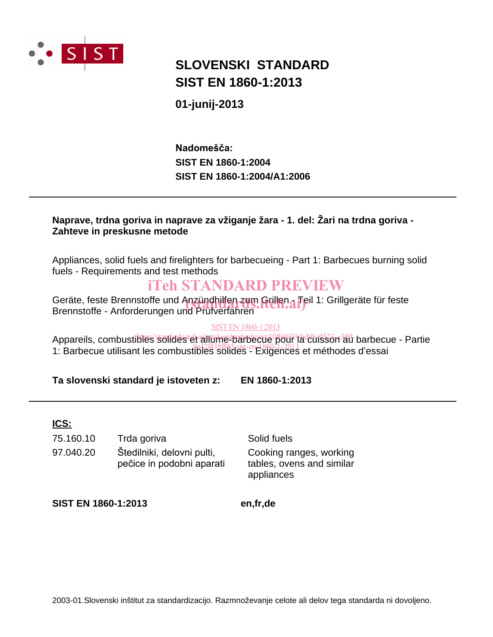

# **SIST EN 1860-1:2013 SLOVENSKI STANDARD**

**01-junij-2013**

**SIST EN 1860-1:2004/A1:2006 SIST EN 1860-1:2004** Nadomešča:

### **Naprave, trdna goriva in naprave za vžiganje žara - 1. del: Žari na trdna goriva - Zahteve in preskusne metode**

Appliances, solid fuels and firelighters for barbecueing - Part 1: Barbecues burning solid fuels - Requirements and test methods

## iTeh STANDARD PREVIEW

Geräte, feste Brennstoffe und Anzündhilfen zum Grillen <sub>a</sub> Teil 1: Grillgeräte für feste<br>Brennstoffe - Anforderungen und Prüfverfahren Brennstoffe - Anforderungen und Prüfverfahren

#### SIST EN 1860-1:2013

Appareils, combustibles solides et allume-barbecue pour la cuisson ave barbecue - Partie reparenc, combustibles conduct de la primere de la propie de calceon du bancoce<br>1: Barbecue utilisant les combustibles solides - Exigences et méthodes d'essai

**Ta slovenski standard je istoveten z: EN 1860-1:2013**

### **ICS:**

| 75.160.10 | Trda goriva                |
|-----------|----------------------------|
| 97.040.20 | Štedilniki, delovni pulti, |
|           | pečice in podobni aparati  |

Cooking ranges, working tables, ovens and similar appliances Solid fuels

**SIST EN 1860-1:2013 en,fr,de**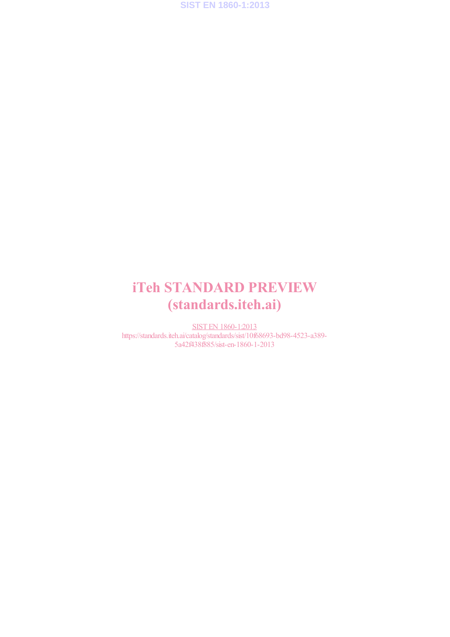**SIST EN 1860-1:2013**

# iTeh STANDARD PREVIEW (standards.iteh.ai)

SIST EN 1860-1:2013 https://standards.iteh.ai/catalog/standards/sist/10f68693-bd98-4523-a389- 5a42f438f885/sist-en-1860-1-2013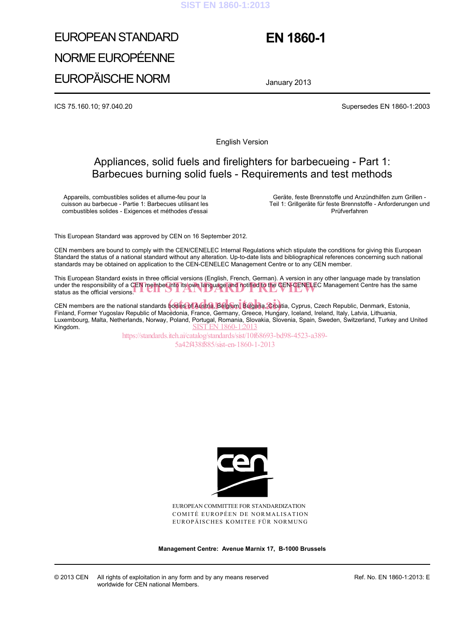#### **SIST EN 1860-1:2013**

# EUROPEAN STANDARD NORME EUROPÉENNE EUROPÄISCHE NORM

# **EN 1860-1**

January 2013

ICS 75.160.10; 97.040.20 Supersedes EN 1860-1:2003

English Version

### Appliances, solid fuels and firelighters for barbecueing - Part 1: Barbecues burning solid fuels - Requirements and test methods

Appareils, combustibles solides et allume-feu pour la cuisson au barbecue - Partie 1: Barbecues utilisant les combustibles solides - Exigences et méthodes d'essai

 Geräte, feste Brennstoffe und Anzündhilfen zum Grillen - Teil 1: Grillgeräte für feste Brennstoffe - Anforderungen und Prüfverfahren

This European Standard was approved by CEN on 16 September 2012.

CEN members are bound to comply with the CEN/CENELEC Internal Regulations which stipulate the conditions for giving this European Standard the status of a national standard without any alteration. Up-to-date lists and bibliographical references concerning such national standards may be obtained on application to the CEN-CENELEC Management Centre or to any CEN member.

This European Standard exists in three official versions (English, French, German). A version in any other language made by translation under the responsibility of a CEN member into its own language and notified to the CEN-CENELEC Management Centre has the same status as the official versions. status as the official versions.

CEN members are the national standards bodies of Austria, Belgium, Bulgaria, Croatia, Cyprus, Czech Republic, Denmark, Estonia, Finland, Former Yugoslav Republic of Macedonia, France, Germany, Greece, Hungary, Iceland, Ireland, Italy, Latvia, Lithuania, Luxembourg, Malta, Netherlands, Norway, Poland, Portugal, Romania, Slovakia, Slovenia, Spain, Sweden, Switzerland, Turkey and United Kingdom. SIST EN 1860-1:2013

https://standards.iteh.ai/catalog/standards/sist/10f68693-bd98-4523-a389- 5a42f438f885/sist-en-1860-1-2013



EUROPEAN COMMITTEE FOR STANDARDIZATION COMITÉ EUROPÉEN DE NORMALISATION EUROPÄISCHES KOMITEE FÜR NORMUNG

**Management Centre: Avenue Marnix 17, B-1000 Brussels** 

© 2013 CEN All rights of exploitation in any form and by any means reserved worldwide for CEN national Members.

Ref. No. EN 1860-1:2013: E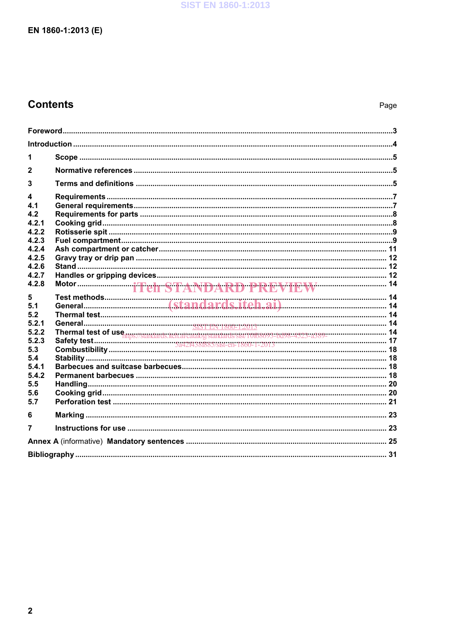## **Contents**

| 1                                                                                               |  |  |  |  |
|-------------------------------------------------------------------------------------------------|--|--|--|--|
| $\mathbf{2}$                                                                                    |  |  |  |  |
| 3                                                                                               |  |  |  |  |
| 4<br>4.1<br>4.2<br>4.2.1<br>4.2.2<br>4.2.3<br>4.2.4<br>4.2.5                                    |  |  |  |  |
| 4.2.6<br>4.2.7                                                                                  |  |  |  |  |
| 4.2.8                                                                                           |  |  |  |  |
| 5<br>5.1<br>5.2<br>5.2.1<br>5.2.2<br>5.2.3<br>5.3<br>5.4<br>5.4.1<br>5.4.2<br>5.5<br>5.6<br>5.7 |  |  |  |  |
| 6                                                                                               |  |  |  |  |
| 7                                                                                               |  |  |  |  |
|                                                                                                 |  |  |  |  |
|                                                                                                 |  |  |  |  |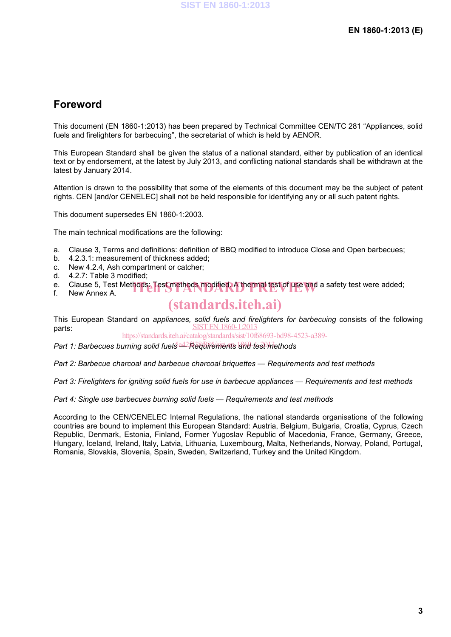### **Foreword**

This document (EN 1860-1:2013) has been prepared by Technical Committee CEN/TC 281 "Appliances, solid fuels and firelighters for barbecuing", the secretariat of which is held by AENOR.

This European Standard shall be given the status of a national standard, either by publication of an identical text or by endorsement, at the latest by July 2013, and conflicting national standards shall be withdrawn at the latest by January 2014.

Attention is drawn to the possibility that some of the elements of this document may be the subject of patent rights. CEN [and/or CENELEC] shall not be held responsible for identifying any or all such patent rights.

This document supersedes EN 1860-1:2003.

The main technical modifications are the following:

- a. Clause 3, Terms and definitions: definition of BBQ modified to introduce Close and Open barbecues;
- b. 4.2.3.1: measurement of thickness added;<br>c. New 4.2.4, Ash compartment or catcher
- c. New 4.2.4, Ash compartment or catcher;<br>d. 4.2.7: Table 3 modified:
- d. 4.2.7: Table 3 modified;
- e. Clause 5, Test Methods: Test methods modified. A thermal test of use and a safety test were added;<br>f. New Annex A.
- f. New Annex A.

## (standards.iteh.ai)

This European Standard on *appliances, solid fuels and firelighters for barbecuing* consists of the following parts: SIST EN 1860-1:2013

https://standards.iteh.ai/catalog/standards/sist/10f68693-bd98-4523-a389-

*Part 1: Barbecues burning solid fuels*<sup>a42</sup>Requirements and test methods

*Part 2: Barbecue charcoal and barbecue charcoal briquettes — Requirements and test methods*

*Part 3: Firelighters for igniting solid fuels for use in barbecue appliances — Requirements and test methods*

#### *Part 4: Single use barbecues burning solid fuels — Requirements and test methods*

According to the CEN/CENELEC Internal Regulations, the national standards organisations of the following countries are bound to implement this European Standard: Austria, Belgium, Bulgaria, Croatia, Cyprus, Czech Republic, Denmark, Estonia, Finland, Former Yugoslav Republic of Macedonia, France, Germany, Greece, Hungary, Iceland, Ireland, Italy, Latvia, Lithuania, Luxembourg, Malta, Netherlands, Norway, Poland, Portugal, Romania, Slovakia, Slovenia, Spain, Sweden, Switzerland, Turkey and the United Kingdom.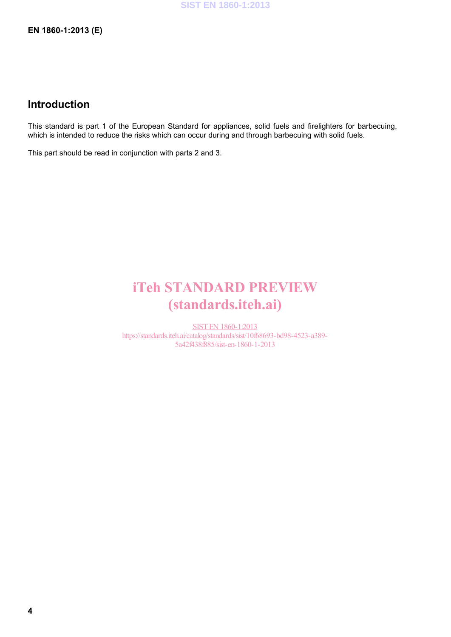**EN 1860-1:2013 (E)**

### **Introduction**

This standard is part 1 of the European Standard for appliances, solid fuels and firelighters for barbecuing, which is intended to reduce the risks which can occur during and through barbecuing with solid fuels.

This part should be read in conjunction with parts 2 and 3.

# iTeh STANDARD PREVIEW (standards.iteh.ai)

SIST EN 1860-1:2013 https://standards.iteh.ai/catalog/standards/sist/10f68693-bd98-4523-a389- 5a42f438f885/sist-en-1860-1-2013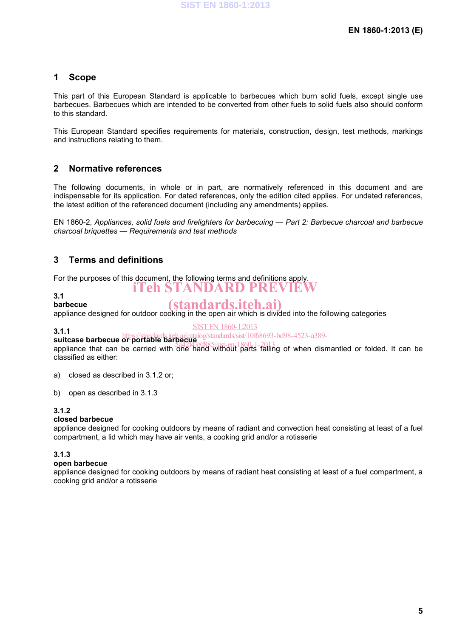#### **1 Scope**

This part of this European Standard is applicable to barbecues which burn solid fuels, except single use barbecues. Barbecues which are intended to be converted from other fuels to solid fuels also should conform to this standard.

This European Standard specifies requirements for materials, construction, design, test methods, markings and instructions relating to them.

#### **2 Normative references**

The following documents, in whole or in part, are normatively referenced in this document and are indispensable for its application. For dated references, only the edition cited applies. For undated references, the latest edition of the referenced document (including any amendments) applies.

EN 1860-2, *Appliances, solid fuels and firelighters for barbecuing — Part 2: Barbecue charcoal and barbecue charcoal briquettes — Requirements and test methods*

### **3 Terms and definitions**

For the purposes of this document, the following terms and definitions apply.

iTeh STANDARD PREVIEW

#### **3.1 barbecue**

## (standards.iteh.ai)

appliance designed for outdoor cooking in the open air which is divided into the following categories

#### **3.1.1**

#### SIST EN 1860-1:2013

**suitcase barbecue or portable barbecule current des suitcases**<br>**suitcase barbecue or portable barbecue**, *e mos leist en 1960 1, 2012* 

appliance that can be carried with one hand without parts falling of when dismantled or folded. It can be classified as either: 5a42f438f885/sist-en-1860-1-2013

a) closed as described in 3.1.2 or;

b) open as described in 3.1.3

#### **3.1.2**

#### **closed barbecue**

appliance designed for cooking outdoors by means of radiant and convection heat consisting at least of a fuel compartment, a lid which may have air vents, a cooking grid and/or a rotisserie

#### **3.1.3**

#### **open barbecue**

appliance designed for cooking outdoors by means of radiant heat consisting at least of a fuel compartment, a cooking grid and/or a rotisserie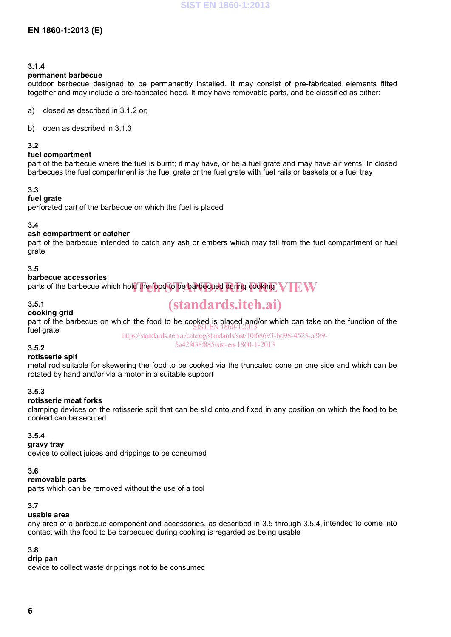#### **3.1.4**

#### **permanent barbecue**

outdoor barbecue designed to be permanently installed. It may consist of pre-fabricated elements fitted together and may include a pre-fabricated hood. It may have removable parts, and be classified as either:

a) closed as described in 3.1.2 or;

b) open as described in 3.1.3

#### **3.2**

#### **fuel compartment**

part of the barbecue where the fuel is burnt; it may have, or be a fuel grate and may have air vents. In closed barbecues the fuel compartment is the fuel grate or the fuel grate with fuel rails or baskets or a fuel tray

#### **3.3**

#### **fuel grate**

perforated part of the barbecue on which the fuel is placed

#### **3.4**

#### **ash compartment or catcher**

part of the barbecue intended to catch any ash or embers which may fall from the fuel compartment or fuel grate

#### **3.5**

#### **barbecue accessories**

parts of the barbecue which hold the food to be barbecued during cooking  $VIFW$ 

#### **3.5.1**

#### **cooking grid**

(standards.iteh.ai)

part of the barbecue on which the food to be cooked is placed and/or which can take on the function of the part fuel grate https://standards.iteh.ai/catalog/standards/sist/10f68693-bd98-4523-a389-

5a42f438f885/sist-en-1860-1-2013

#### **3.5.2**

#### **rotisserie spit**

metal rod suitable for skewering the food to be cooked via the truncated cone on one side and which can be rotated by hand and/or via a motor in a suitable support

#### **3.5.3**

#### **rotisserie meat forks**

clamping devices on the rotisserie spit that can be slid onto and fixed in any position on which the food to be cooked can be secured

#### **3.5.4**

#### **gravy tray**

device to collect juices and drippings to be consumed

#### **3.6**

#### **removable parts**

parts which can be removed without the use of a tool

#### **3.7**

#### **usable area**

any area of a barbecue component and accessories, as described in 3.5 through 3.5.4, intended to come into contact with the food to be barbecued during cooking is regarded as being usable

#### **3.8**

#### **drip pan**

device to collect waste drippings not to be consumed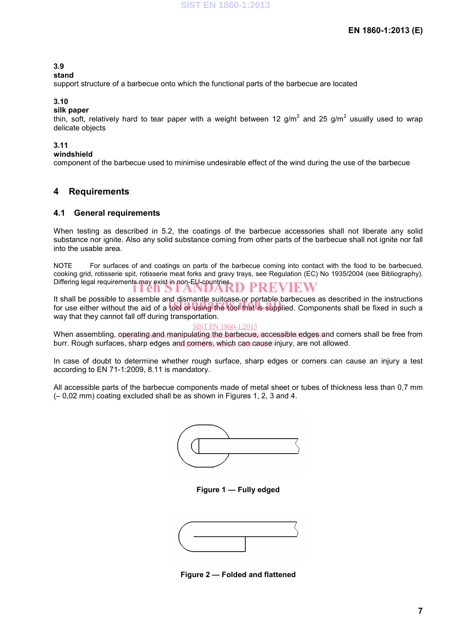#### **3.9**

#### **stand**

support structure of a barbecue onto which the functional parts of the barbecue are located

#### **3.10**

#### **silk paper**

thin, soft, relatively hard to tear paper with a weight between 12 g/m<sup>2</sup> and 25 g/m<sup>2</sup> usually used to wrap delicate objects

#### **3.11**

#### **windshield**

component of the barbecue used to minimise undesirable effect of the wind during the use of the barbecue

#### **4 Requirements**

#### **4.1 General requirements**

When testing as described in 5.2, the coatings of the barbecue accessories shall not liberate any solid substance nor ignite. Also any solid substance coming from other parts of the barbecue shall not ignite nor fall into the usable area.

NOTE For surfaces of and coatings on parts of the barbecue coming into contact with the food to be barbecued, cooking grid, rotisserie spit, rotisserie meat forks and gravy trays, see Regulation (EC) No 1935/2004 (see Bibliography). Differing legal requirements may exist in non-EU-countries. D PREVIEW

It shall be possible to assemble and dismantle suitcase or portable barbecues as described in the instructions It shall be possible to assemble and dismantle suitcase or portable barbecues as described in the instructions<br>for use either without the aid of a tool or using the tool that is supplied. Components shall be fixed in such way that they cannot fall off during transportation.

#### SIST EN 1860-1:2013

When assembling, o<u>perating and manipulating the barbe</u>cue, accessible edges and corners shall be free from burr. Rough surfaces, sharp edges and gorners, which can cause injury, are not allowed.

In case of doubt to determine whether rough surface, sharp edges or corners can cause an injury a test according to EN 71-1:2009, 8.11 is mandatory.

All accessible parts of the barbecue components made of metal sheet or tubes of thickness less than 0,7 mm (– 0,02 mm) coating excluded shall be as shown in Figures 1, 2, 3 and 4.



**Figure 1 — Fully edged**



**Figure 2 — Folded and flattened**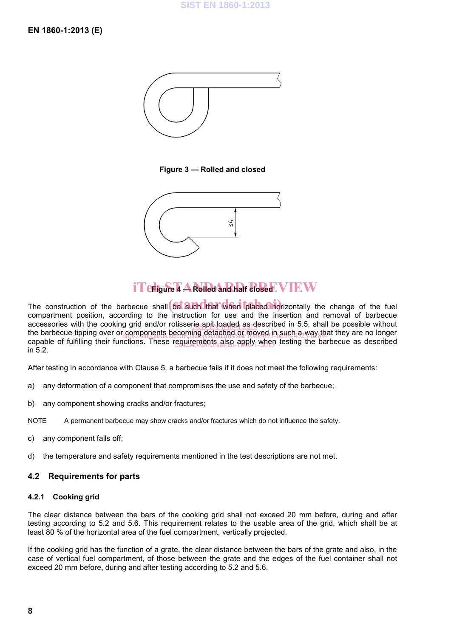

**Figure 3 — Rolled and closed**



# $i$ **T** Chigure **4 A** Rolled and half closed **VIEW**

The construction of the barbecue shall **be such that when thaced ho**rizontally the change of the fuel compartment position, according to the instruction for use and the insertion and removal of barbecue accessories with the cooking grid and/or rotisserie spit loaded as described in 5.5, shall be possible without the barbecue tipping over or components becoming detached or moved in such a way that they are no longer capable of fulfilling their functions. These requirements also apply when testing the barbecue as described<br>-- F.2 in 5.2.

After testing in accordance with Clause 5, a barbecue fails if it does not meet the following requirements:

- a) any deformation of a component that compromises the use and safety of the barbecue;
- b) any component showing cracks and/or fractures;
- NOTE A permanent barbecue may show cracks and/or fractures which do not influence the safety.
- c) any component falls off;
- d) the temperature and safety requirements mentioned in the test descriptions are not met.

#### **4.2 Requirements for parts**

#### **4.2.1 Cooking grid**

The clear distance between the bars of the cooking grid shall not exceed 20 mm before, during and after testing according to 5.2 and 5.6. This requirement relates to the usable area of the grid, which shall be at least 80 % of the horizontal area of the fuel compartment, vertically projected.

If the cooking grid has the function of a grate, the clear distance between the bars of the grate and also, in the case of vertical fuel compartment, of those between the grate and the edges of the fuel container shall not exceed 20 mm before, during and after testing according to 5.2 and 5.6.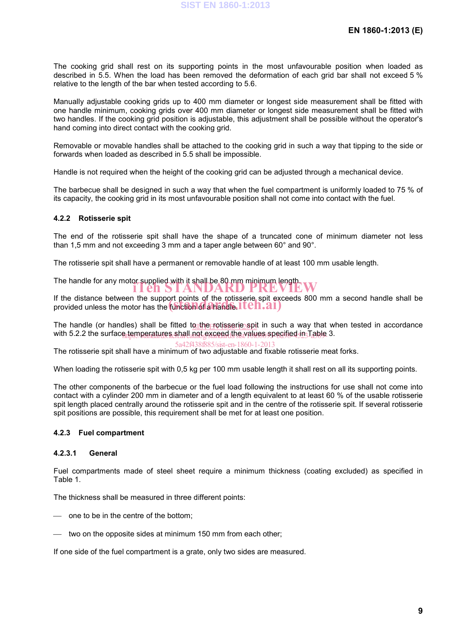The cooking grid shall rest on its supporting points in the most unfavourable position when loaded as described in 5.5. When the load has been removed the deformation of each grid bar shall not exceed 5 % relative to the length of the bar when tested according to 5.6.

Manually adjustable cooking grids up to 400 mm diameter or longest side measurement shall be fitted with one handle minimum, cooking grids over 400 mm diameter or longest side measurement shall be fitted with two handles. If the cooking grid position is adjustable, this adjustment shall be possible without the operator's hand coming into direct contact with the cooking grid.

Removable or movable handles shall be attached to the cooking grid in such a way that tipping to the side or forwards when loaded as described in 5.5 shall be impossible.

Handle is not required when the height of the cooking grid can be adjusted through a mechanical device.

The barbecue shall be designed in such a way that when the fuel compartment is uniformly loaded to 75 % of its capacity, the cooking grid in its most unfavourable position shall not come into contact with the fuel.

#### **4.2.2 Rotisserie spit**

The end of the rotisserie spit shall have the shape of a truncated cone of minimum diameter not less than 1,5 mm and not exceeding 3 mm and a taper angle between 60° and 90°.

The rotisserie spit shall have a permanent or removable handle of at least 100 mm usable length.

The handle for any motor supplied with it shall be 80 mm minimum length.<br>**ITEHTSTANDARD PREVIEW** 

If the distance between the support points of the rotisserie spit exceeds 800 mm a second handle shall be If the distance between the support points of the rotisserie spit exc<br>provided unless the motor has the function of a handle. ITCN.21)

The handle (or handles) shall be fitted to the rotisserie spit in such a way that when tested in accordance with 5.2.2 the surface temperatures shall not exceed the values specified in Table 3.

5a42f438f885/sist-en-1860-1-2013

The rotisserie spit shall have a minimum of two adjustable and fixable rotisserie meat forks.

When loading the rotisserie spit with 0.5 kg per 100 mm usable length it shall rest on all its supporting points.

The other components of the barbecue or the fuel load following the instructions for use shall not come into contact with a cylinder 200 mm in diameter and of a length equivalent to at least 60 % of the usable rotisserie spit length placed centrally around the rotisserie spit and in the centre of the rotisserie spit. If several rotisserie spit positions are possible, this requirement shall be met for at least one position.

#### **4.2.3 Fuel compartment**

#### **4.2.3.1 General**

Fuel compartments made of steel sheet require a minimum thickness (coating excluded) as specified in Table 1.

The thickness shall be measured in three different points:

- one to be in the centre of the bottom;
- two on the opposite sides at minimum 150 mm from each other;

If one side of the fuel compartment is a grate, only two sides are measured.